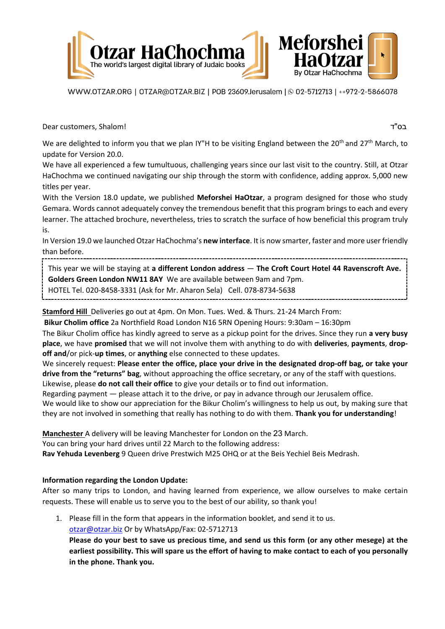

WWW.OTZAR.ORG | OTZAR@OTZAR.BIZ | POB 23609.Jerusalem | @ 02-5712713 | ++972-2-5866078

Dear customers, Shalom! ד"בס

We are delighted to inform you that we plan IY"H to be visiting England between the 20<sup>th</sup> and 27<sup>th</sup> March, to update for Version 20.0.

We have all experienced a few tumultuous, challenging years since our last visit to the country. Still, at Otzar HaChochma we continued navigating our ship through the storm with confidence, adding approx. 5,000 new titles per year.

With the Version 18.0 update, we published **Meforshei HaOtzar**, a program designed for those who study Gemara. Words cannot adequately convey the tremendous benefit that this program brings to each and every learner. The attached brochure, nevertheless, tries to scratch the surface of how beneficial this program truly is.

In Version 19.0 we launched Otzar HaChochma's **new interface**. It is now smarter, faster and more user friendly than before.

This year we will be staying at **a different London address** — **The Croft Court Hotel 44 Ravenscroft Ave. Golders Green London NW11 8AY** We are available between 9am and 7pm. HOTEL Tel. 020-8458-3331 (Ask for Mr. Aharon Sela) Cell. 078-8734-5638

**Stamford Hill** Deliveries go out at 4pm. On Mon. Tues. Wed. & Thurs. 21-24 March From:

**Bikur Cholim office** 2a Northfield Road London N16 5RN Opening Hours: 9:30am – 16:30pm

The Bikur Cholim office has kindly agreed to serve as a pickup point for the drives. Since they run **a very busy place**, we have **promised** that we will not involve them with anything to do with **deliveries**, **payments**, **dropoff and**/or pick-**up times**, or **anything** else connected to these updates.

We sincerely request: **Please enter the office, place your drive in the designated drop-off bag, or take your drive from the "returns" bag**, without approaching the office secretary, or any of the staff with questions. Likewise, please **do not call their office** to give your details or to find out information.

Regarding payment — please attach it to the drive, or pay in advance through our Jerusalem office. We would like to show our appreciation for the Bikur Cholim's willingness to help us out, by making sure that they are not involved in something that really has nothing to do with them. **Thank you for understanding**!

**Manchester** A delivery will be leaving Manchester for London on the 23 March. You can bring your hard drives until 22 March to the following address: **Rav Yehuda Levenberg** 9 Queen drive Prestwich M25 OHQ or at the Beis Yechiel Beis Medrash.

## **Information regarding the London Update:**

After so many trips to London, and having learned from experience, we allow ourselves to make certain requests. These will enable us to serve you to the best of our ability, so thank you!

1. Please fill in the form that appears in the information booklet, and send it to us. [otzar@otzar.biz](mailto:otzar@otzar.biz) Or by WhatsApp/Fax: 02-5712713

**Please do your best to save us precious time, and send us this form (or any other mesege) at the earliest possibility. This will spare us the effort of having to make contact to each of you personally in the phone. Thank you.**